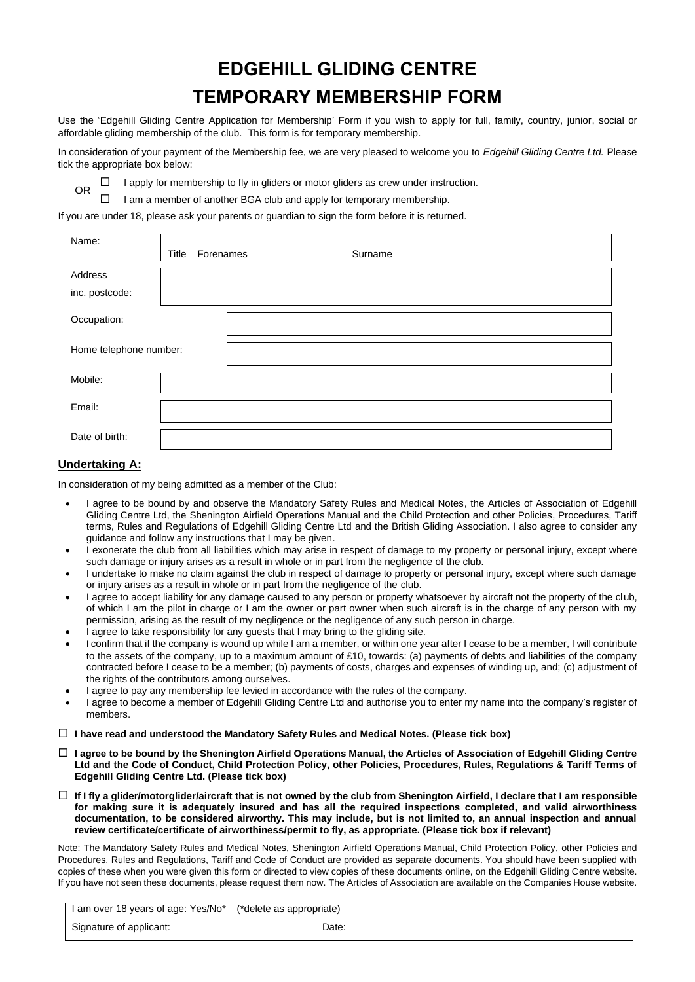# **EDGEHILL GLIDING CENTRE TEMPORARY MEMBERSHIP FORM**

Use the 'Edgehill Gliding Centre Application for Membership' Form if you wish to apply for full, family, country, junior, social or affordable gliding membership of the club. This form is for temporary membership.

In consideration of your payment of the Membership fee, we are very pleased to welcome you to *Edgehill Gliding Centre Ltd.* Please tick the appropriate box below:

 $\Box$  I apply for membership to fly in gliders or motor gliders as crew under instruction.

I am a member of another BGA club and apply for temporary membership.

If you are under 18, please ask your parents or guardian to sign the form before it is returned.

| Name:                     | Forenames<br>Title | Surname |  |
|---------------------------|--------------------|---------|--|
| Address<br>inc. postcode: |                    |         |  |
| Occupation:               |                    |         |  |
| Home telephone number:    |                    |         |  |
| Mobile:                   |                    |         |  |
| Email:                    |                    |         |  |
| Date of birth:            |                    |         |  |

## **Undertaking A:**

OR

In consideration of my being admitted as a member of the Club:

- I agree to be bound by and observe the Mandatory Safety Rules and Medical Notes, the Articles of Association of Edgehill Gliding Centre Ltd, the Shenington Airfield Operations Manual and the Child Protection and other Policies, Procedures, Tariff terms, Rules and Regulations of Edgehill Gliding Centre Ltd and the British Gliding Association. I also agree to consider any guidance and follow any instructions that I may be given.
- I exonerate the club from all liabilities which may arise in respect of damage to my property or personal injury, except where such damage or injury arises as a result in whole or in part from the negligence of the club.
- I undertake to make no claim against the club in respect of damage to property or personal injury, except where such damage or injury arises as a result in whole or in part from the negligence of the club.
- I agree to accept liability for any damage caused to any person or property whatsoever by aircraft not the property of the club, of which I am the pilot in charge or I am the owner or part owner when such aircraft is in the charge of any person with my permission, arising as the result of my negligence or the negligence of any such person in charge.
- I agree to take responsibility for any guests that I may bring to the gliding site.
- I confirm that if the company is wound up while I am a member, or within one year after I cease to be a member, I will contribute to the assets of the company, up to a maximum amount of £10, towards: (a) payments of debts and liabilities of the company contracted before I cease to be a member; (b) payments of costs, charges and expenses of winding up, and; (c) adjustment of the rights of the contributors among ourselves.
- I agree to pay any membership fee levied in accordance with the rules of the company.
- I agree to become a member of Edgehill Gliding Centre Ltd and authorise you to enter my name into the company's register of members.
- **I have read and understood the Mandatory Safety Rules and Medical Notes. (Please tick box)**
- **I agree to be bound by the Shenington Airfield Operations Manual, the Articles of Association of Edgehill Gliding Centre Ltd and the Code of Conduct, Child Protection Policy, other Policies, Procedures, Rules, Regulations & Tariff Terms of Edgehill Gliding Centre Ltd. (Please tick box)**
- **If I fly a glider/motorglider/aircraft that is not owned by the club from Shenington Airfield, I declare that I am responsible for making sure it is adequately insured and has all the required inspections completed, and valid airworthiness documentation, to be considered airworthy. This may include, but is not limited to, an annual inspection and annual review certificate/certificate of airworthiness/permit to fly, as appropriate. (Please tick box if relevant)**

Note: The Mandatory Safety Rules and Medical Notes, Shenington Airfield Operations Manual, Child Protection Policy, other Policies and Procedures, Rules and Regulations, Tariff and Code of Conduct are provided as separate documents. You should have been supplied with copies of these when you were given this form or directed to view copies of these documents online, on the Edgehill Gliding Centre website. If you have not seen these documents, please request them now. The Articles of Association are available on the Companies House website.